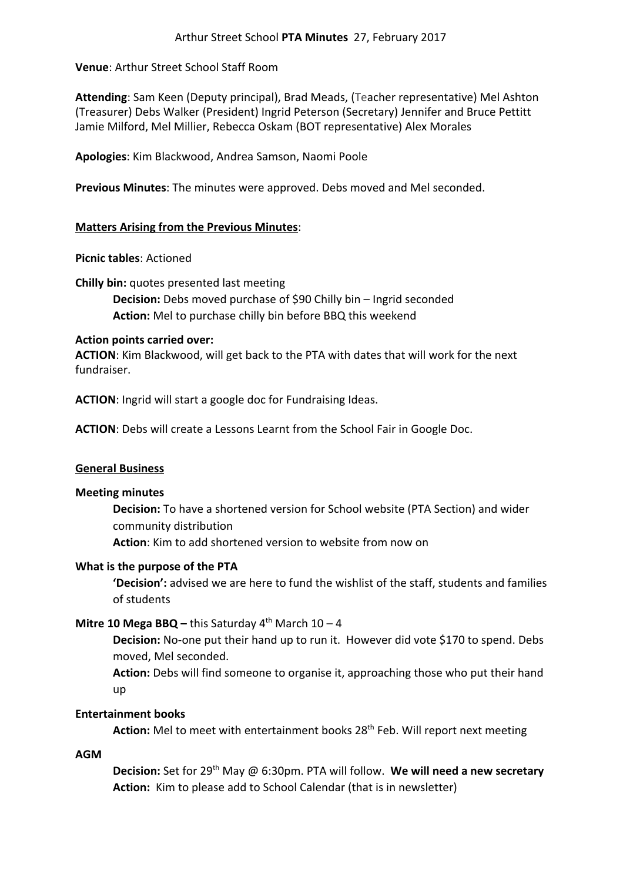# **Venue**: Arthur Street School Staff Room

**Attending**: Sam Keen (Deputy principal), Brad Meads, (Teacher representative) Mel Ashton (Treasurer) Debs Walker (President) Ingrid Peterson (Secretary) Jennifer and Bruce Pettitt Jamie Milford, Mel Millier, Rebecca Oskam (BOT representative) Alex Morales

**Apologies**: Kim Blackwood, Andrea Samson, Naomi Poole

**Previous Minutes**: The minutes were approved. Debs moved and Mel seconded.

# **Matters Arising from the Previous Minutes**:

**Picnic tables**: Actioned

**Chilly bin:** quotes presented last meeting

**Decision:** Debs moved purchase of \$90 Chilly bin – Ingrid seconded **Action:** Mel to purchase chilly bin before BBQ this weekend

# **Action points carried over:**

**ACTION**: Kim Blackwood, will get back to the PTA with dates that will work for the next fundraiser.

**ACTION**: Ingrid will start a google doc for Fundraising Ideas.

**ACTION**: Debs will create a Lessons Learnt from the School Fair in Google Doc.

# **General Business**

# **Meeting minutes**

**Decision:** To have a shortened version for School website (PTA Section) and wider community distribution

**Action**: Kim to add shortened version to website from now on

# **What is the purpose of the PTA**

**'Decision':** advised we are here to fund the wishlist of the staff, students and families of students

# **Mitre 10 Mega BBQ –** this Saturday  $4<sup>th</sup>$  March  $10 - 4$

**Decision:** No-one put their hand up to run it. However did vote \$170 to spend. Debs moved, Mel seconded.

**Action:** Debs will find someone to organise it, approaching those who put their hand up

# **Entertainment books**

Action: Mel to meet with entertainment books 28<sup>th</sup> Feb. Will report next meeting

**AGM**

**Decision:** Set for 29<sup>th</sup> May @ 6:30pm. PTA will follow. We will need a new secretary **Action:** Kim to please add to School Calendar (that is in newsletter)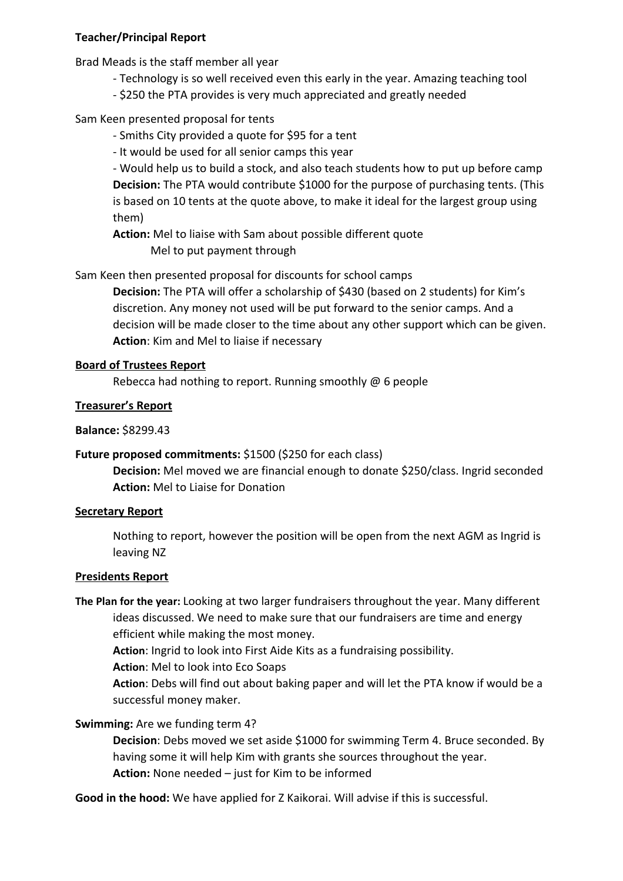#### **Teacher/Principal Report**

Brad Meads is the staff member all year

- Technology is so well received even this early in the year. Amazing teaching tool
- \$250 the PTA provides is very much appreciated and greatly needed

# Sam Keen presented proposal for tents

- Smiths City provided a quote for \$95 for a tent
- It would be used for all senior camps this year

- Would help us to build a stock, and also teach students how to put up before camp **Decision:** The PTA would contribute \$1000 for the purpose of purchasing tents. (This is based on 10 tents at the quote above, to make it ideal for the largest group using them)

**Action:** Mel to liaise with Sam about possible different quote Mel to put payment through

Sam Keen then presented proposal for discounts for school camps

**Decision:** The PTA will offer a scholarship of \$430 (based on 2 students) for Kim's discretion. Any money not used will be put forward to the senior camps. And a decision will be made closer to the time about any other support which can be given. **Action**: Kim and Mel to liaise if necessary

#### **Board of Trustees Report**

Rebecca had nothing to report. Running smoothly @ 6 people

#### **Treasurer's Report**

#### **Balance:** \$8299.43

#### **Future proposed commitments:** \$1500 (\$250 for each class)

**Decision:** Mel moved we are financial enough to donate \$250/class. Ingrid seconded **Action:** Mel to Liaise for Donation

#### **Secretary Report**

Nothing to report, however the position will be open from the next AGM as Ingrid is leaving NZ

#### **Presidents Report**

**The Plan for the year:** Looking at two larger fundraisers throughout the year. Many different ideas discussed. We need to make sure that our fundraisers are time and energy efficient while making the most money.

**Action**: Ingrid to look into First Aide Kits as a fundraising possibility.

**Action**: Mel to look into Eco Soaps

**Action**: Debs will find out about baking paper and will let the PTA know if would be a successful money maker.

# **Swimming:** Are we funding term 4?

**Decision**: Debs moved we set aside \$1000 for swimming Term 4. Bruce seconded. By having some it will help Kim with grants she sources throughout the year. **Action:** None needed – just for Kim to be informed

**Good in the hood:** We have applied for Z Kaikorai. Will advise if this is successful.